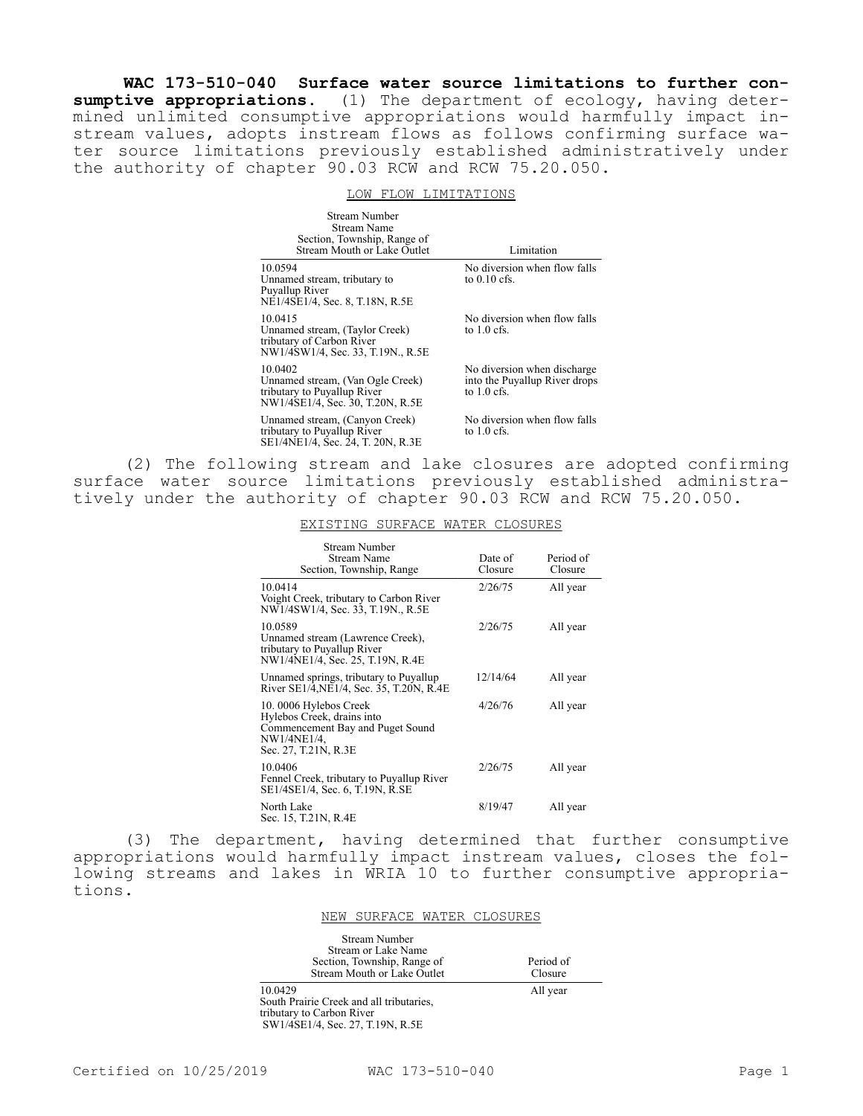**WAC 173-510-040 Surface water source limitations to further con**sumptive appropriations. (1) The department of ecology, having determined unlimited consumptive appropriations would harmfully impact instream values, adopts instream flows as follows confirming surface water source limitations previously established administratively under the authority of chapter 90.03 RCW and RCW 75.20.050.

## LOW FLOW LIMITATIONS

| Stream Number<br>Stream Name<br>Section, Township, Range of<br>Stream Mouth or Lake Outlet                     | Limitation                                                                    |
|----------------------------------------------------------------------------------------------------------------|-------------------------------------------------------------------------------|
| 10.0594<br>Unnamed stream, tributary to<br>Puyallup River<br>NE1/4SE1/4, Sec. 8, T.18N, R.5E                   | No diversion when flow falls<br>to $0.10$ cfs.                                |
| 10.0415<br>Unnamed stream, (Taylor Creek)<br>tributary of Carbon River<br>NW1/4SW1/4, Sec. 33, T.19N., R.5E    | No diversion when flow falls<br>to $1.0$ cfs.                                 |
| 10.0402<br>Unnamed stream, (Van Ogle Creek)<br>tributary to Puyallup River<br>NW1/4SE1/4, Sec. 30, T.20N, R.5E | No diversion when discharge<br>into the Puyallup River drops<br>to $1.0$ cfs. |
| Unnamed stream, (Canyon Creek)<br>tributary to Puyallup River<br>SE1/4NE1/4, Sec. 24, T. 20N, R.3E             | No diversion when flow falls<br>to $1.0$ cfs.                                 |

(2) The following stream and lake closures are adopted confirming surface water source limitations previously established administratively under the authority of chapter 90.03 RCW and RCW 75.20.050.

## EXISTING SURFACE WATER CLOSURES

| Stream Number<br>Stream Name<br>Section, Township, Range                                                                       | Date of<br>Closure | Period of<br>Closure |
|--------------------------------------------------------------------------------------------------------------------------------|--------------------|----------------------|
| 10.0414<br>Voight Creek, tributary to Carbon River<br>NW1/4SW1/4, Sec. 33, T.19N., R.5E                                        | 2/26/75            | All year             |
| 10.0589<br>Unnamed stream (Lawrence Creek),<br>tributary to Puyallup River<br>NW1/4NE1/4, Sec. 25, T.19N, R.4E                 | 2/26/75            | All year             |
| Unnamed springs, tributary to Puyallup<br>River SE1/4, NE1/4, Sec. 35, T.20N, R.4E                                             | 12/14/64           | All year             |
| 10.0006 Hylebos Creek<br>Hylebos Creek, drains into<br>Commencement Bay and Puget Sound<br>NW1/4NE1/4,<br>Sec. 27, T.21N, R.3E | 4/26/76            | All year             |
| 10.0406<br>Fennel Creek, tributary to Puyallup River<br>SE1/4SE1/4, Sec. 6, T.19N, R.SE                                        | 2/26/75            | All year             |
| North Lake<br>Sec. 15, T.21N, R.4E                                                                                             | 8/19/47            | All year             |

(3) The department, having determined that further consumptive appropriations would harmfully impact instream values, closes the following streams and lakes in WRIA 10 to further consumptive appropriations.

## NEW SURFACE WATER CLOSURES

| <b>Stream Number</b>        |  |
|-----------------------------|--|
| Stream or Lake Name         |  |
| Section, Township, Range of |  |
| Stream Mouth or Lake Outlet |  |

10.0429 South Prairie Creek and all tributaries, tributary to Carbon River SW1/4SE1/4, Sec. 27, T.19N, R.5E

Period of Closure All year